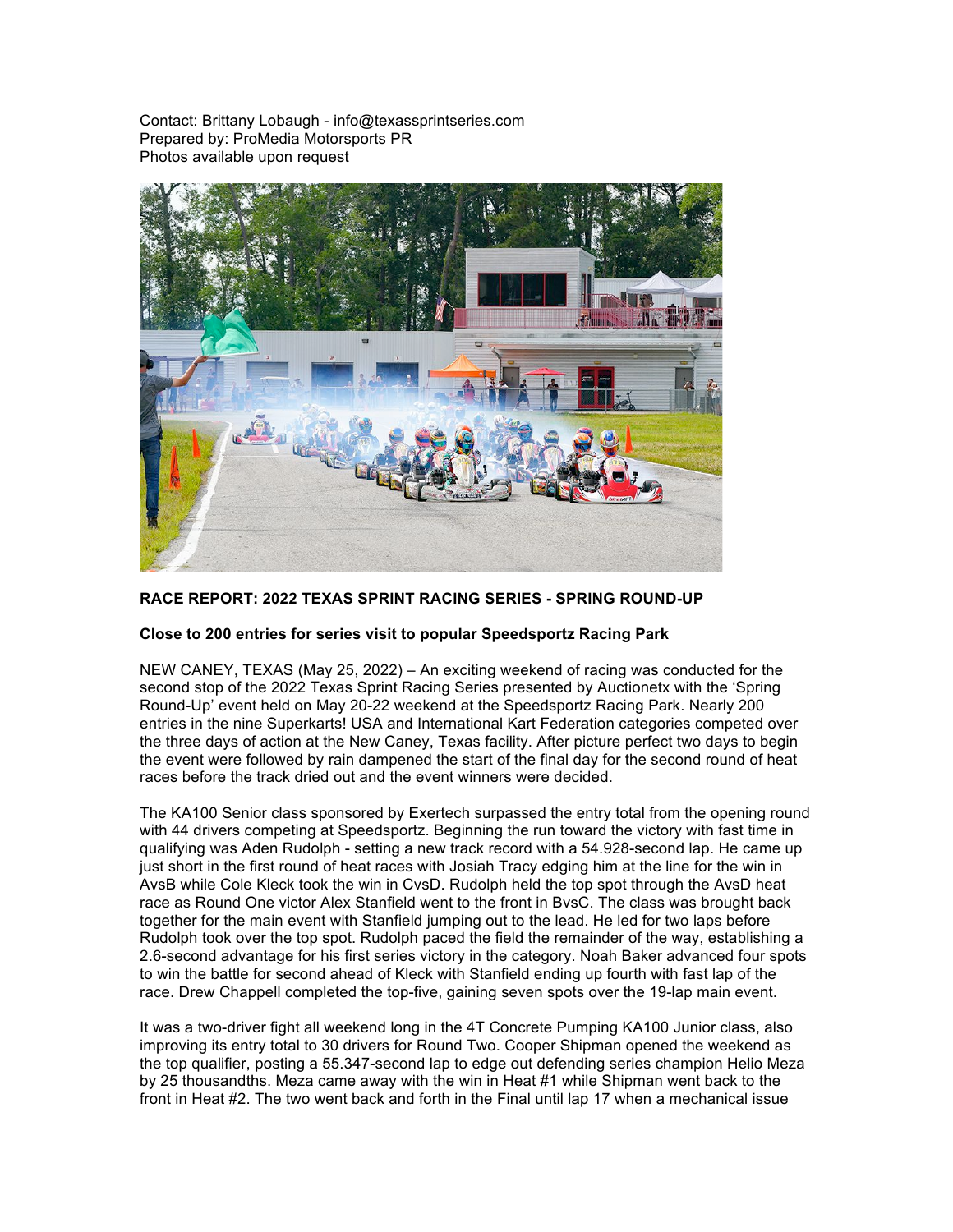Contact: Brittany Lobaugh - info@texassprintseries.com Prepared by: ProMedia Motorsports PR Photos available upon request



## **RACE REPORT: 2022 TEXAS SPRINT RACING SERIES - SPRING ROUND-UP**

## **Close to 200 entries for series visit to popular Speedsportz Racing Park**

NEW CANEY, TEXAS (May 25, 2022) – An exciting weekend of racing was conducted for the second stop of the 2022 Texas Sprint Racing Series presented by Auctionetx with the 'Spring Round-Up' event held on May 20-22 weekend at the Speedsportz Racing Park. Nearly 200 entries in the nine Superkarts! USA and International Kart Federation categories competed over the three days of action at the New Caney, Texas facility. After picture perfect two days to begin the event were followed by rain dampened the start of the final day for the second round of heat races before the track dried out and the event winners were decided.

The KA100 Senior class sponsored by Exertech surpassed the entry total from the opening round with 44 drivers competing at Speedsportz. Beginning the run toward the victory with fast time in qualifying was Aden Rudolph - setting a new track record with a 54.928-second lap. He came up just short in the first round of heat races with Josiah Tracy edging him at the line for the win in AvsB while Cole Kleck took the win in CvsD. Rudolph held the top spot through the AvsD heat race as Round One victor Alex Stanfield went to the front in BvsC. The class was brought back together for the main event with Stanfield jumping out to the lead. He led for two laps before Rudolph took over the top spot. Rudolph paced the field the remainder of the way, establishing a 2.6-second advantage for his first series victory in the category. Noah Baker advanced four spots to win the battle for second ahead of Kleck with Stanfield ending up fourth with fast lap of the race. Drew Chappell completed the top-five, gaining seven spots over the 19-lap main event.

It was a two-driver fight all weekend long in the 4T Concrete Pumping KA100 Junior class, also improving its entry total to 30 drivers for Round Two. Cooper Shipman opened the weekend as the top qualifier, posting a 55.347-second lap to edge out defending series champion Helio Meza by 25 thousandths. Meza came away with the win in Heat #1 while Shipman went back to the front in Heat #2. The two went back and forth in the Final until lap 17 when a mechanical issue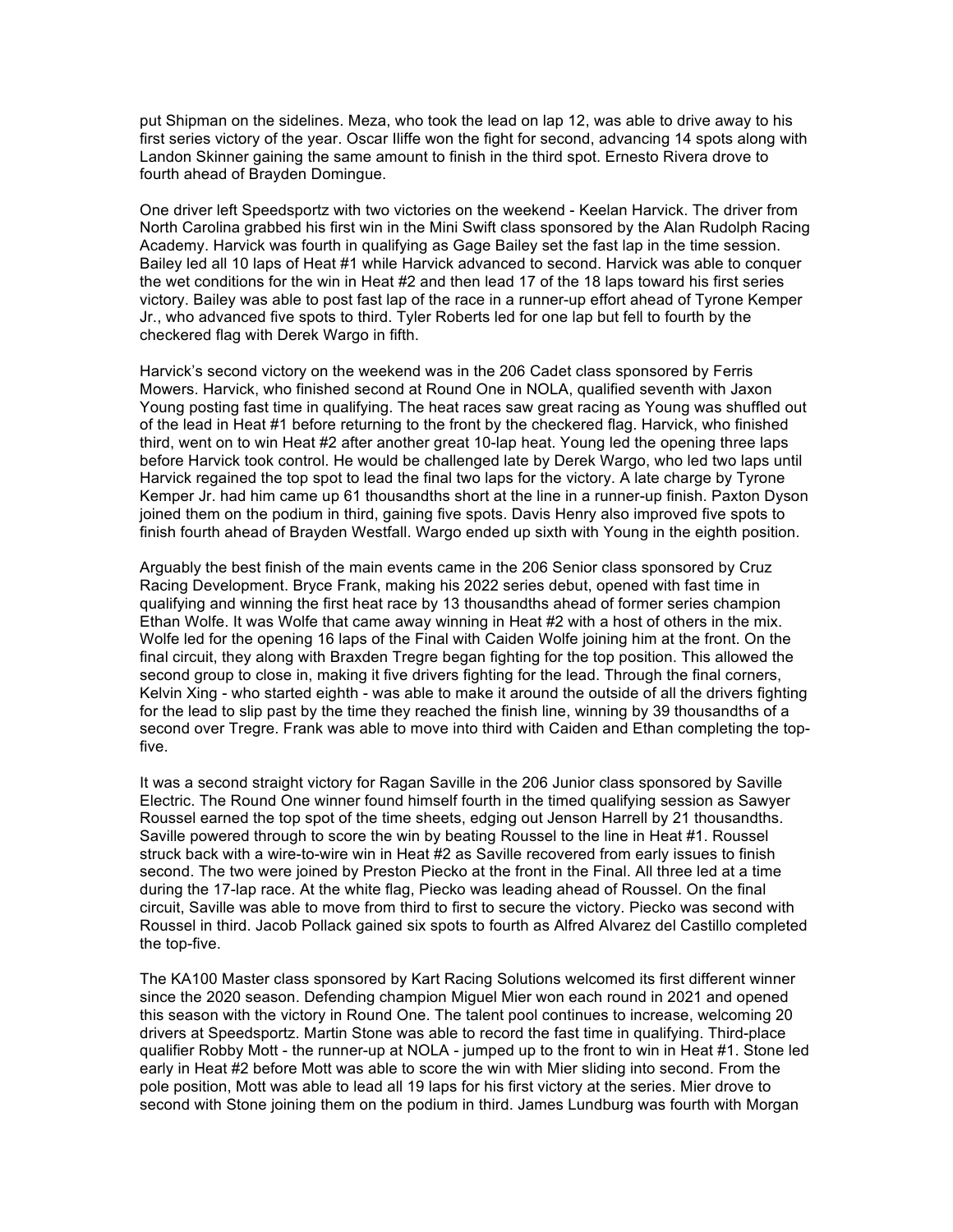put Shipman on the sidelines. Meza, who took the lead on lap 12, was able to drive away to his first series victory of the year. Oscar Iliffe won the fight for second, advancing 14 spots along with Landon Skinner gaining the same amount to finish in the third spot. Ernesto Rivera drove to fourth ahead of Brayden Domingue.

One driver left Speedsportz with two victories on the weekend - Keelan Harvick. The driver from North Carolina grabbed his first win in the Mini Swift class sponsored by the Alan Rudolph Racing Academy. Harvick was fourth in qualifying as Gage Bailey set the fast lap in the time session. Bailey led all 10 laps of Heat #1 while Harvick advanced to second. Harvick was able to conquer the wet conditions for the win in Heat #2 and then lead 17 of the 18 laps toward his first series victory. Bailey was able to post fast lap of the race in a runner-up effort ahead of Tyrone Kemper Jr., who advanced five spots to third. Tyler Roberts led for one lap but fell to fourth by the checkered flag with Derek Wargo in fifth.

Harvick's second victory on the weekend was in the 206 Cadet class sponsored by Ferris Mowers. Harvick, who finished second at Round One in NOLA, qualified seventh with Jaxon Young posting fast time in qualifying. The heat races saw great racing as Young was shuffled out of the lead in Heat #1 before returning to the front by the checkered flag. Harvick, who finished third, went on to win Heat #2 after another great 10-lap heat. Young led the opening three laps before Harvick took control. He would be challenged late by Derek Wargo, who led two laps until Harvick regained the top spot to lead the final two laps for the victory. A late charge by Tyrone Kemper Jr. had him came up 61 thousandths short at the line in a runner-up finish. Paxton Dyson joined them on the podium in third, gaining five spots. Davis Henry also improved five spots to finish fourth ahead of Brayden Westfall. Wargo ended up sixth with Young in the eighth position.

Arguably the best finish of the main events came in the 206 Senior class sponsored by Cruz Racing Development. Bryce Frank, making his 2022 series debut, opened with fast time in qualifying and winning the first heat race by 13 thousandths ahead of former series champion Ethan Wolfe. It was Wolfe that came away winning in Heat #2 with a host of others in the mix. Wolfe led for the opening 16 laps of the Final with Caiden Wolfe joining him at the front. On the final circuit, they along with Braxden Tregre began fighting for the top position. This allowed the second group to close in, making it five drivers fighting for the lead. Through the final corners, Kelvin Xing - who started eighth - was able to make it around the outside of all the drivers fighting for the lead to slip past by the time they reached the finish line, winning by 39 thousandths of a second over Tregre. Frank was able to move into third with Caiden and Ethan completing the topfive.

It was a second straight victory for Ragan Saville in the 206 Junior class sponsored by Saville Electric. The Round One winner found himself fourth in the timed qualifying session as Sawyer Roussel earned the top spot of the time sheets, edging out Jenson Harrell by 21 thousandths. Saville powered through to score the win by beating Roussel to the line in Heat #1. Roussel struck back with a wire-to-wire win in Heat #2 as Saville recovered from early issues to finish second. The two were joined by Preston Piecko at the front in the Final. All three led at a time during the 17-lap race. At the white flag, Piecko was leading ahead of Roussel. On the final circuit, Saville was able to move from third to first to secure the victory. Piecko was second with Roussel in third. Jacob Pollack gained six spots to fourth as Alfred Alvarez del Castillo completed the top-five.

The KA100 Master class sponsored by Kart Racing Solutions welcomed its first different winner since the 2020 season. Defending champion Miguel Mier won each round in 2021 and opened this season with the victory in Round One. The talent pool continues to increase, welcoming 20 drivers at Speedsportz. Martin Stone was able to record the fast time in qualifying. Third-place qualifier Robby Mott - the runner-up at NOLA - jumped up to the front to win in Heat #1. Stone led early in Heat #2 before Mott was able to score the win with Mier sliding into second. From the pole position, Mott was able to lead all 19 laps for his first victory at the series. Mier drove to second with Stone joining them on the podium in third. James Lundburg was fourth with Morgan